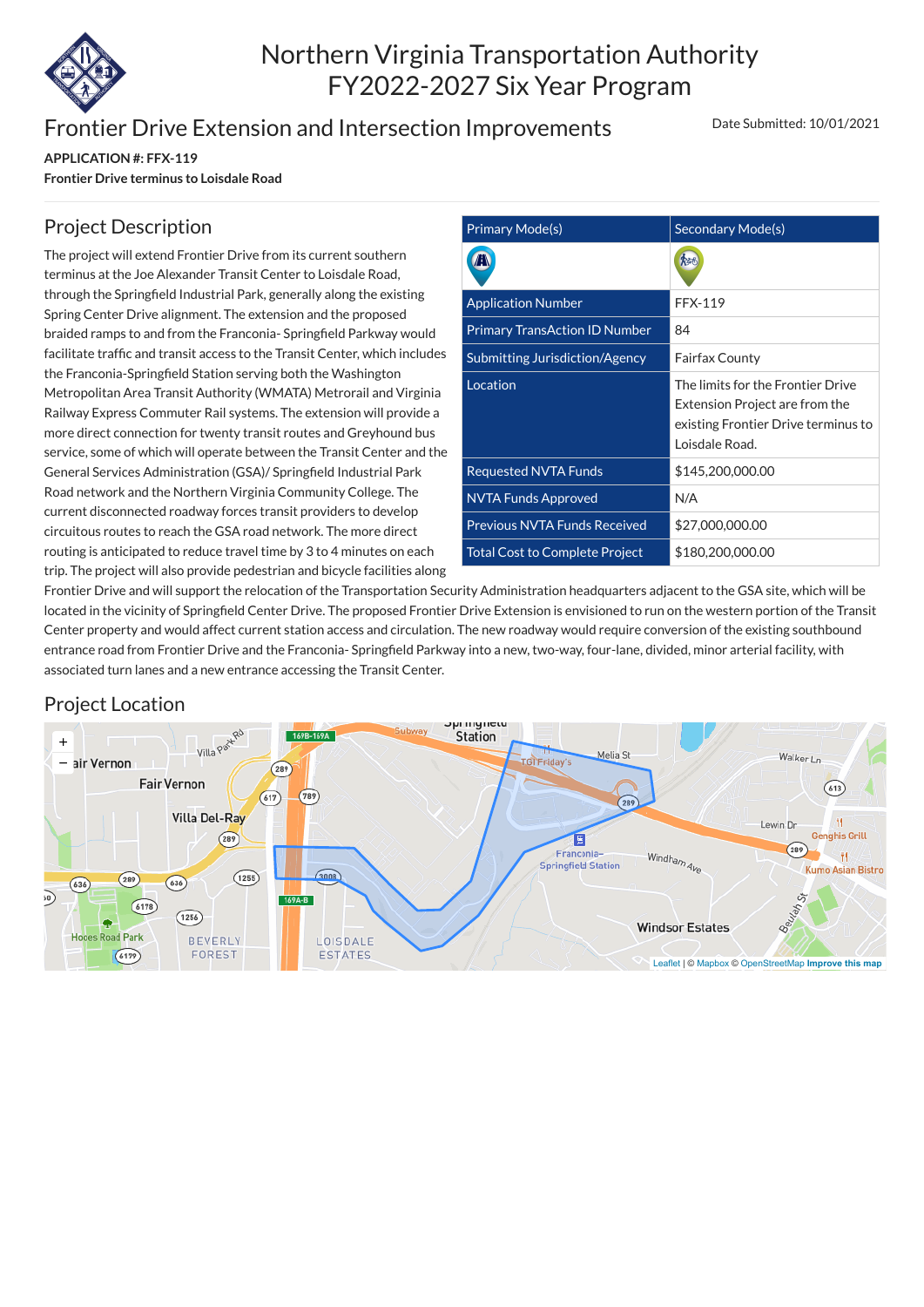

# Northern Virginia Transportation Authority FY2022-2027 Six Year Program

### Frontier Drive Extension and Intersection Improvements

**APPLICATION #: FFX-119 Frontier Drive terminus to Loisdale Road** Date Submitted: 10/01/2021

| <b>Primary Mode(s)</b>                | Secondary Mode(s)                                                                                                            |
|---------------------------------------|------------------------------------------------------------------------------------------------------------------------------|
|                                       |                                                                                                                              |
| <b>Application Number</b>             | <b>FFX-119</b>                                                                                                               |
| <b>Primary TransAction ID Number</b>  | 84                                                                                                                           |
| <b>Submitting Jurisdiction/Agency</b> | <b>Fairfax County</b>                                                                                                        |
| Location                              | The limits for the Frontier Drive<br>Extension Project are from the<br>existing Frontier Drive terminus to<br>Loisdale Road. |
| <b>Requested NVTA Funds</b>           | \$145,200,000.00                                                                                                             |
| <b>NVTA Funds Approved</b>            | N/A                                                                                                                          |
| <b>Previous NVTA Funds Received</b>   | \$27,000,000.00                                                                                                              |
| <b>Total Cost to Complete Project</b> | \$180,200,000.00                                                                                                             |

#### Project Description

The project will extend Frontier Drive from its current southern terminus at the Joe Alexander Transit Center to Loisdale Road, through the Springfield Industrial Park, generally along the existing Spring Center Drive alignment. The extension and the proposed braided ramps to and from the Franconia- Springfield Parkway would facilitate traffic and transit access to the Transit Center, which includes the Franconia-Springfield Station serving both the Washington Metropolitan Area Transit Authority (WMATA) Metrorail and Virginia Railway Express Commuter Rail systems. The extension will provide a more direct connection for twenty transit routes and Greyhound bus service, some of which will operate between the Transit Center and the General Services Administration (GSA)/ Springfield Industrial Park Road network and the Northern Virginia Community College. The current disconnected roadway forces transit providers to develop circuitous routes to reach the GSA road network. The more direct routing is anticipated to reduce travel time by 3 to 4 minutes on each trip. The project will also provide pedestrian and bicycle facilities along

Frontier Drive and will support the relocation of the Transportation Security Administration headquarters adjacent to the GSA site, which will be located in the vicinity of Springfield Center Drive. The proposed Frontier Drive Extension is envisioned to run on the western portion of the Transit Center property and would affect current station access and circulation. The new roadway would require conversion of the existing southbound entrance road from Frontier Drive and the Franconia- Springfield Parkway into a new, two-way, four-lane, divided, minor arterial facility, with associated turn lanes and a new entrance accessing the Transit Center.

#### Project Location